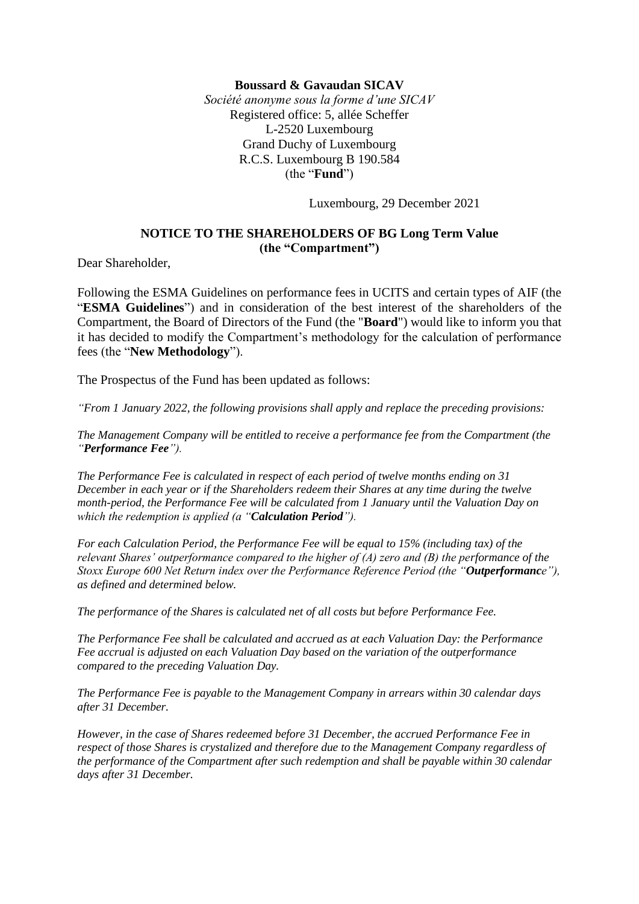## **Boussard & Gavaudan SICAV**

*Société anonyme sous la forme d'une SICAV* Registered office: 5, allée Scheffer L-2520 Luxembourg Grand Duchy of Luxembourg R.C.S. Luxembourg B 190.584 (the "**Fund**")

Luxembourg, 29 December 2021

## **NOTICE TO THE SHAREHOLDERS OF BG Long Term Value (the "Compartment")**

Dear Shareholder,

Following the ESMA Guidelines on performance fees in UCITS and certain types of AIF (the "**ESMA Guidelines**") and in consideration of the best interest of the shareholders of the Compartment, the Board of Directors of the Fund (the "**Board**") would like to inform you that it has decided to modify the Compartment's methodology for the calculation of performance fees (the "**New Methodology**").

The Prospectus of the Fund has been updated as follows:

*"From 1 January 2022, the following provisions shall apply and replace the preceding provisions:* 

*The Management Company will be entitled to receive a performance fee from the Compartment (the "Performance Fee").* 

*The Performance Fee is calculated in respect of each period of twelve months ending on 31 December in each year or if the Shareholders redeem their Shares at any time during the twelve month-period, the Performance Fee will be calculated from 1 January until the Valuation Day on which the redemption is applied (a "Calculation Period").* 

*For each Calculation Period, the Performance Fee will be equal to 15% (including tax) of the relevant Shares' outperformance compared to the higher of (A) zero and (B) the performance of the Stoxx Europe 600 Net Return index over the Performance Reference Period (the "Outperformance"), as defined and determined below.* 

*The performance of the Shares is calculated net of all costs but before Performance Fee.* 

*The Performance Fee shall be calculated and accrued as at each Valuation Day: the Performance Fee accrual is adjusted on each Valuation Day based on the variation of the outperformance compared to the preceding Valuation Day.* 

*The Performance Fee is payable to the Management Company in arrears within 30 calendar days after 31 December.*

*However, in the case of Shares redeemed before 31 December, the accrued Performance Fee in respect of those Shares is crystalized and therefore due to the Management Company regardless of the performance of the Compartment after such redemption and shall be payable within 30 calendar days after 31 December.*